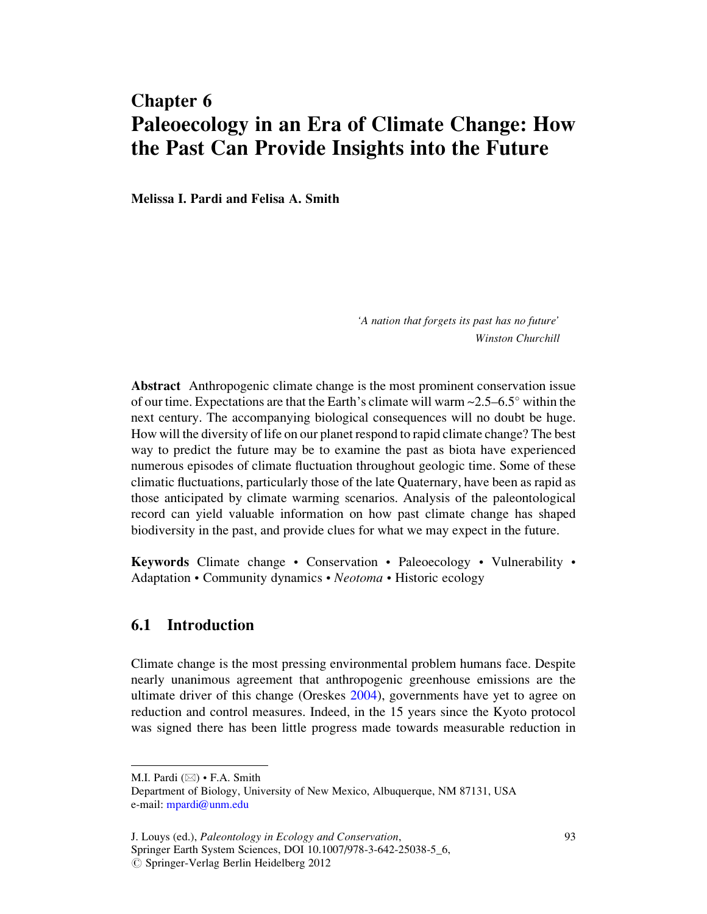# Chapter 6 Paleoecology in an Era of Climate Change: How the Past Can Provide Insights into the Future

Melissa I. Pardi and Felisa A. Smith

'A nation that forgets its past has no future' Winston Churchill

Abstract Anthropogenic climate change is the most prominent conservation issue of our time. Expectations are that the Earth's climate will warm  $\sim$ 2.5–6.5 $\degree$  within the next century. The accompanying biological consequences will no doubt be huge. How will the diversity of life on our planet respond to rapid climate change? The best way to predict the future may be to examine the past as biota have experienced numerous episodes of climate fluctuation throughout geologic time. Some of these climatic fluctuations, particularly those of the late Quaternary, have been as rapid as those anticipated by climate warming scenarios. Analysis of the paleontological record can yield valuable information on how past climate change has shaped biodiversity in the past, and provide clues for what we may expect in the future.

Keywords Climate change • Conservation • Paleoecology • Vulnerability • Adaptation • Community dynamics • Neotoma • Historic ecology

# 6.1 Introduction

Climate change is the most pressing environmental problem humans face. Despite nearly unanimous agreement that anthropogenic greenhouse emissions are the ultimate driver of this change (Oreskes 2004), governments have yet to agree on reduction and control measures. Indeed, in the 15 years since the Kyoto protocol was signed there has been little progress made towards measurable reduction in

J. Louys (ed.), Paleontology in Ecology and Conservation, Springer Earth System Sciences, DOI 10.1007/978-3-642-25038-5\_6,  $\oslash$  Springer-Verlag Berlin Heidelberg 2012

M.I. Pardi  $(\boxtimes) \cdot$  F.A. Smith

Department of Biology, University of New Mexico, Albuquerque, NM 87131, USA e-mail: mpardi@unm.edu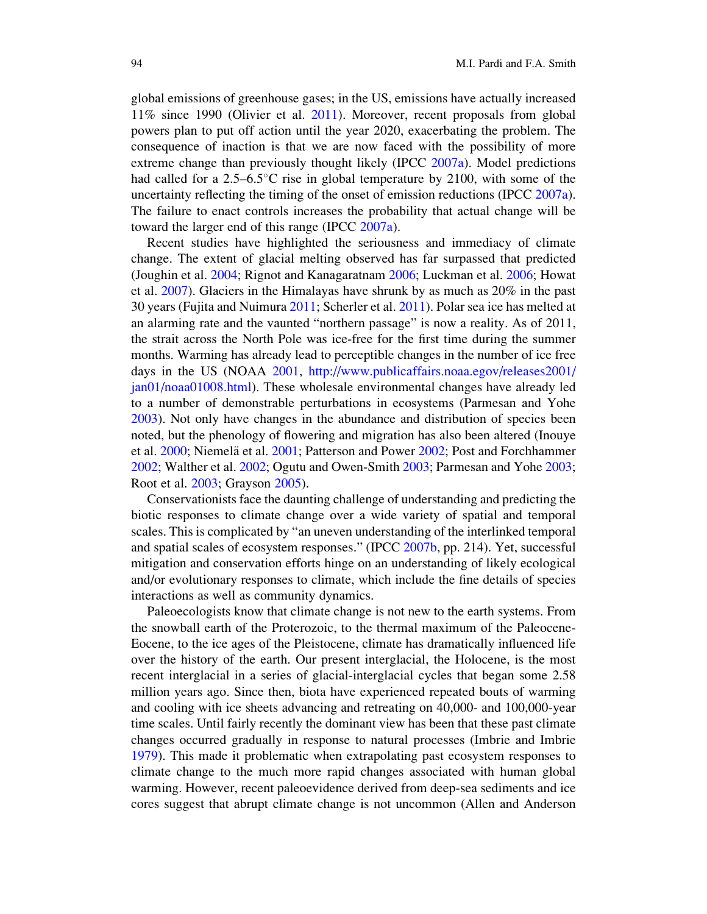global emissions of greenhouse gases; in the US, emissions have actually increased 11% since 1990 (Olivier et al. 2011). Moreover, recent proposals from global powers plan to put off action until the year 2020, exacerbating the problem. The consequence of inaction is that we are now faced with the possibility of more extreme change than previously thought likely (IPCC 2007a). Model predictions had called for a  $2.5-6.5^{\circ}$ C rise in global temperature by 2100, with some of the uncertainty reflecting the timing of the onset of emission reductions (IPCC 2007a). The failure to enact controls increases the probability that actual change will be toward the larger end of this range (IPCC 2007a).

Recent studies have highlighted the seriousness and immediacy of climate change. The extent of glacial melting observed has far surpassed that predicted (Joughin et al. 2004; Rignot and Kanagaratnam 2006; Luckman et al. 2006; Howat et al. 2007). Glaciers in the Himalayas have shrunk by as much as 20% in the past 30 years (Fujita and Nuimura 2011; Scherler et al. 2011). Polar sea ice has melted at an alarming rate and the vaunted "northern passage" is now a reality. As of 2011, the strait across the North Pole was ice-free for the first time during the summer months. Warming has already lead to perceptible changes in the number of ice free days in the US (NOAA 2001, http://www.publicaffairs.noaa.egov/releases2001/ jan01/noaa01008.html). These wholesale environmental changes have already led to a number of demonstrable perturbations in ecosystems (Parmesan and Yohe 2003). Not only have changes in the abundance and distribution of species been noted, but the phenology of flowering and migration has also been altered (Inouye et al. 2000; Niemelä et al. 2001; Patterson and Power 2002; Post and Forchhammer 2002; Walther et al. 2002; Ogutu and Owen-Smith 2003; Parmesan and Yohe 2003; Root et al. 2003; Grayson 2005).

Conservationists face the daunting challenge of understanding and predicting the biotic responses to climate change over a wide variety of spatial and temporal scales. This is complicated by "an uneven understanding of the interlinked temporal and spatial scales of ecosystem responses." (IPCC 2007b, pp. 214). Yet, successful mitigation and conservation efforts hinge on an understanding of likely ecological and/or evolutionary responses to climate, which include the fine details of species interactions as well as community dynamics.

Paleoecologists know that climate change is not new to the earth systems. From the snowball earth of the Proterozoic, to the thermal maximum of the Paleocene-Eocene, to the ice ages of the Pleistocene, climate has dramatically influenced life over the history of the earth. Our present interglacial, the Holocene, is the most recent interglacial in a series of glacial-interglacial cycles that began some 2.58 million years ago. Since then, biota have experienced repeated bouts of warming and cooling with ice sheets advancing and retreating on 40,000- and 100,000-year time scales. Until fairly recently the dominant view has been that these past climate changes occurred gradually in response to natural processes (Imbrie and Imbrie 1979). This made it problematic when extrapolating past ecosystem responses to climate change to the much more rapid changes associated with human global warming. However, recent paleoevidence derived from deep-sea sediments and ice cores suggest that abrupt climate change is not uncommon (Allen and Anderson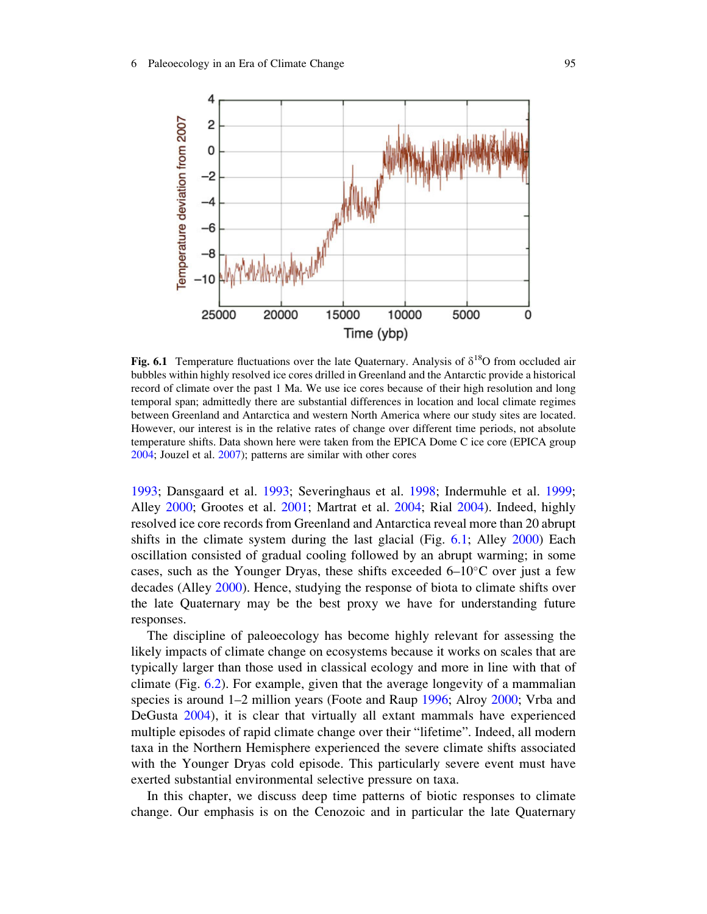

Fig. 6.1 Temperature fluctuations over the late Quaternary. Analysis of  $\delta^{18}O$  from occluded air bubbles within highly resolved ice cores drilled in Greenland and the Antarctic provide a historical record of climate over the past 1 Ma. We use ice cores because of their high resolution and long temporal span; admittedly there are substantial differences in location and local climate regimes between Greenland and Antarctica and western North America where our study sites are located. However, our interest is in the relative rates of change over different time periods, not absolute temperature shifts. Data shown here were taken from the EPICA Dome C ice core (EPICA group 2004; Jouzel et al. 2007); patterns are similar with other cores

1993; Dansgaard et al. 1993; Severinghaus et al. 1998; Indermuhle et al. 1999; Alley 2000; Grootes et al. 2001; Martrat et al. 2004; Rial 2004). Indeed, highly resolved ice core records from Greenland and Antarctica reveal more than 20 abrupt shifts in the climate system during the last glacial (Fig. 6.1; Alley 2000) Each oscillation consisted of gradual cooling followed by an abrupt warming; in some cases, such as the Younger Dryas, these shifts exceeded  $6-10^{\circ}$ C over just a few decades (Alley 2000). Hence, studying the response of biota to climate shifts over the late Quaternary may be the best proxy we have for understanding future responses.

The discipline of paleoecology has become highly relevant for assessing the likely impacts of climate change on ecosystems because it works on scales that are typically larger than those used in classical ecology and more in line with that of climate (Fig. 6.2). For example, given that the average longevity of a mammalian species is around 1–2 million years (Foote and Raup 1996; Alroy 2000; Vrba and DeGusta 2004), it is clear that virtually all extant mammals have experienced multiple episodes of rapid climate change over their "lifetime". Indeed, all modern taxa in the Northern Hemisphere experienced the severe climate shifts associated with the Younger Dryas cold episode. This particularly severe event must have exerted substantial environmental selective pressure on taxa.

In this chapter, we discuss deep time patterns of biotic responses to climate change. Our emphasis is on the Cenozoic and in particular the late Quaternary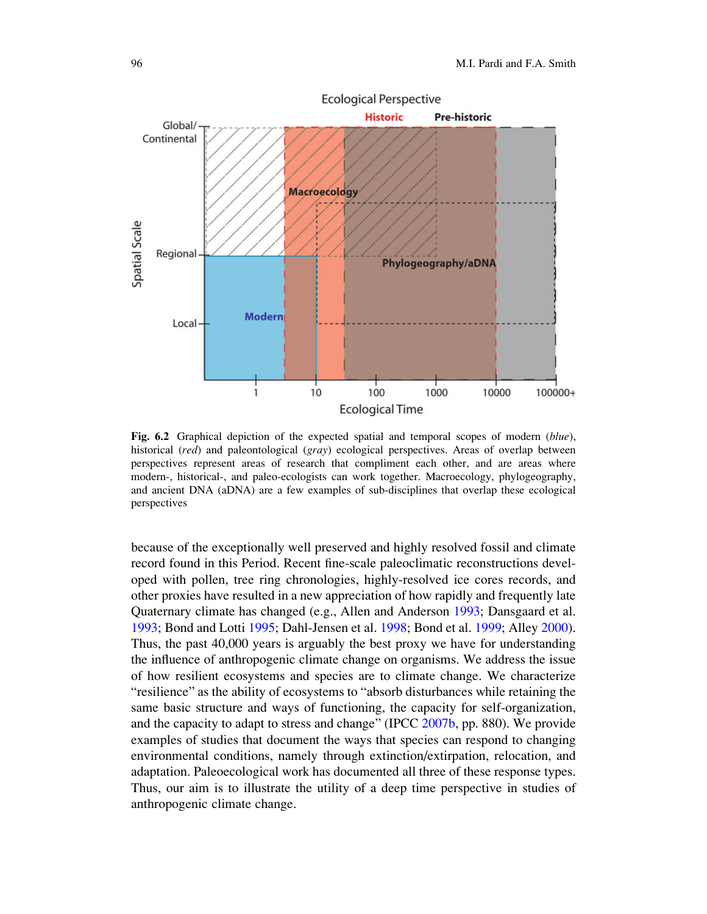

Fig. 6.2 Graphical depiction of the expected spatial and temporal scopes of modern (blue), historical (red) and paleontological (gray) ecological perspectives. Areas of overlap between perspectives represent areas of research that compliment each other, and are areas where modern-, historical-, and paleo-ecologists can work together. Macroecology, phylogeography, and ancient DNA (aDNA) are a few examples of sub-disciplines that overlap these ecological perspectives

because of the exceptionally well preserved and highly resolved fossil and climate record found in this Period. Recent fine-scale paleoclimatic reconstructions developed with pollen, tree ring chronologies, highly-resolved ice cores records, and other proxies have resulted in a new appreciation of how rapidly and frequently late Quaternary climate has changed (e.g., Allen and Anderson 1993; Dansgaard et al. 1993; Bond and Lotti 1995; Dahl-Jensen et al. 1998; Bond et al. 1999; Alley 2000). Thus, the past 40,000 years is arguably the best proxy we have for understanding the influence of anthropogenic climate change on organisms. We address the issue of how resilient ecosystems and species are to climate change. We characterize "resilience" as the ability of ecosystems to "absorb disturbances while retaining the same basic structure and ways of functioning, the capacity for self-organization, and the capacity to adapt to stress and change" (IPCC 2007b, pp. 880). We provide examples of studies that document the ways that species can respond to changing environmental conditions, namely through extinction/extirpation, relocation, and adaptation. Paleoecological work has documented all three of these response types. Thus, our aim is to illustrate the utility of a deep time perspective in studies of anthropogenic climate change.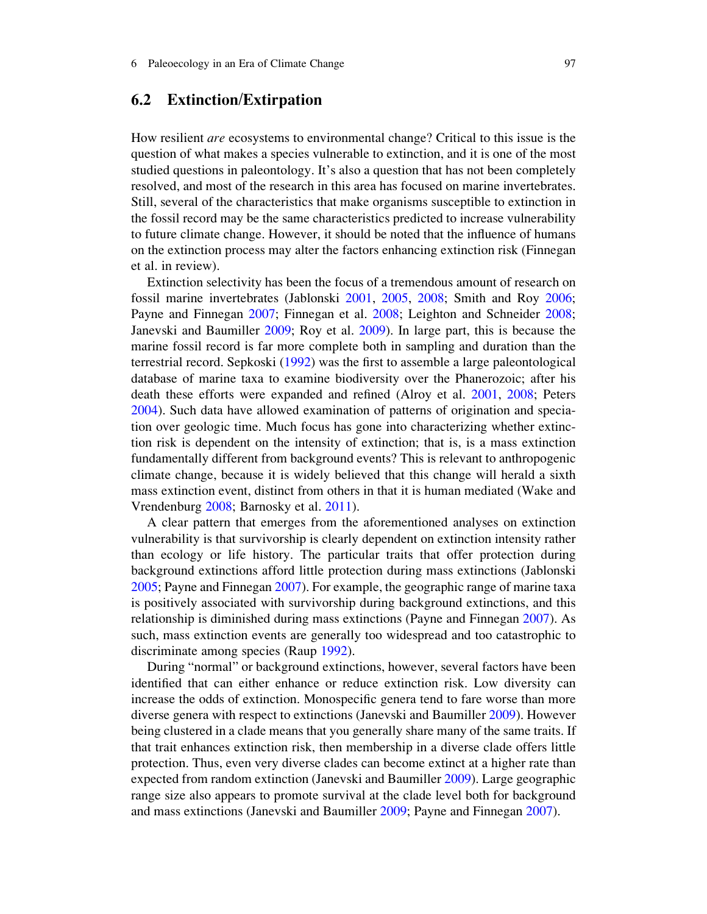# 6.2 Extinction/Extirpation

How resilient are ecosystems to environmental change? Critical to this issue is the question of what makes a species vulnerable to extinction, and it is one of the most studied questions in paleontology. It's also a question that has not been completely resolved, and most of the research in this area has focused on marine invertebrates. Still, several of the characteristics that make organisms susceptible to extinction in the fossil record may be the same characteristics predicted to increase vulnerability to future climate change. However, it should be noted that the influence of humans on the extinction process may alter the factors enhancing extinction risk (Finnegan et al. in review).

Extinction selectivity has been the focus of a tremendous amount of research on fossil marine invertebrates (Jablonski 2001, 2005, 2008; Smith and Roy 2006; Payne and Finnegan 2007; Finnegan et al. 2008; Leighton and Schneider 2008; Janevski and Baumiller 2009; Roy et al. 2009). In large part, this is because the marine fossil record is far more complete both in sampling and duration than the terrestrial record. Sepkoski (1992) was the first to assemble a large paleontological database of marine taxa to examine biodiversity over the Phanerozoic; after his death these efforts were expanded and refined (Alroy et al. 2001, 2008; Peters 2004). Such data have allowed examination of patterns of origination and speciation over geologic time. Much focus has gone into characterizing whether extinction risk is dependent on the intensity of extinction; that is, is a mass extinction fundamentally different from background events? This is relevant to anthropogenic climate change, because it is widely believed that this change will herald a sixth mass extinction event, distinct from others in that it is human mediated (Wake and Vrendenburg 2008; Barnosky et al. 2011).

A clear pattern that emerges from the aforementioned analyses on extinction vulnerability is that survivorship is clearly dependent on extinction intensity rather than ecology or life history. The particular traits that offer protection during background extinctions afford little protection during mass extinctions (Jablonski 2005; Payne and Finnegan 2007). For example, the geographic range of marine taxa is positively associated with survivorship during background extinctions, and this relationship is diminished during mass extinctions (Payne and Finnegan 2007). As such, mass extinction events are generally too widespread and too catastrophic to discriminate among species (Raup 1992).

During "normal" or background extinctions, however, several factors have been identified that can either enhance or reduce extinction risk. Low diversity can increase the odds of extinction. Monospecific genera tend to fare worse than more diverse genera with respect to extinctions (Janevski and Baumiller 2009). However being clustered in a clade means that you generally share many of the same traits. If that trait enhances extinction risk, then membership in a diverse clade offers little protection. Thus, even very diverse clades can become extinct at a higher rate than expected from random extinction (Janevski and Baumiller 2009). Large geographic range size also appears to promote survival at the clade level both for background and mass extinctions (Janevski and Baumiller 2009; Payne and Finnegan 2007).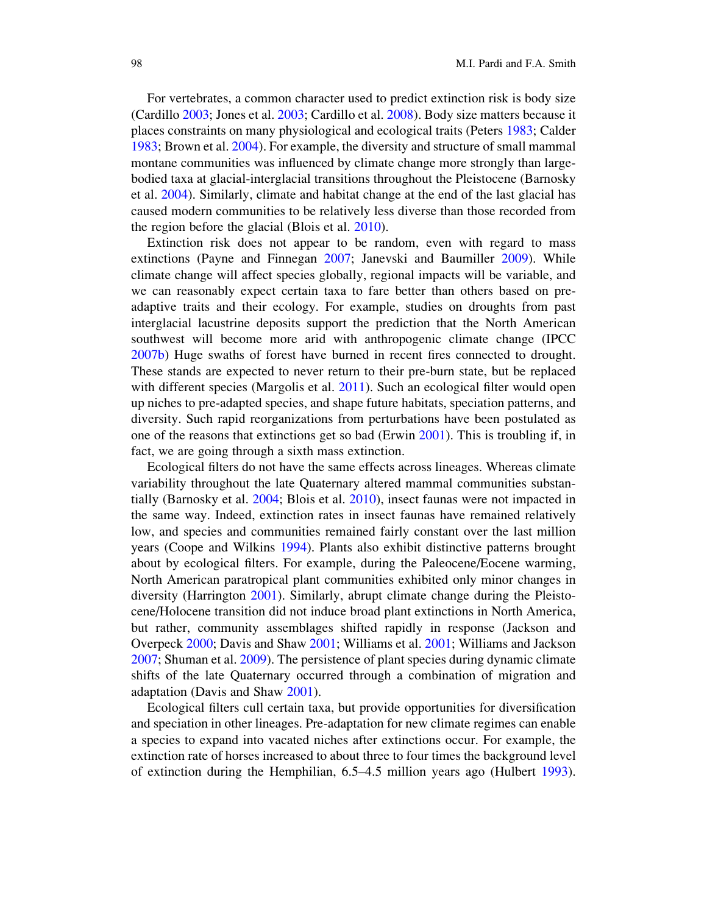For vertebrates, a common character used to predict extinction risk is body size (Cardillo 2003; Jones et al. 2003; Cardillo et al. 2008). Body size matters because it places constraints on many physiological and ecological traits (Peters 1983; Calder 1983; Brown et al. 2004). For example, the diversity and structure of small mammal montane communities was influenced by climate change more strongly than largebodied taxa at glacial-interglacial transitions throughout the Pleistocene (Barnosky et al. 2004). Similarly, climate and habitat change at the end of the last glacial has caused modern communities to be relatively less diverse than those recorded from the region before the glacial (Blois et al. 2010).

Extinction risk does not appear to be random, even with regard to mass extinctions (Payne and Finnegan 2007; Janevski and Baumiller 2009). While climate change will affect species globally, regional impacts will be variable, and we can reasonably expect certain taxa to fare better than others based on preadaptive traits and their ecology. For example, studies on droughts from past interglacial lacustrine deposits support the prediction that the North American southwest will become more arid with anthropogenic climate change (IPCC 2007b) Huge swaths of forest have burned in recent fires connected to drought. These stands are expected to never return to their pre-burn state, but be replaced with different species (Margolis et al. 2011). Such an ecological filter would open up niches to pre-adapted species, and shape future habitats, speciation patterns, and diversity. Such rapid reorganizations from perturbations have been postulated as one of the reasons that extinctions get so bad (Erwin 2001). This is troubling if, in fact, we are going through a sixth mass extinction.

Ecological filters do not have the same effects across lineages. Whereas climate variability throughout the late Quaternary altered mammal communities substantially (Barnosky et al. 2004; Blois et al. 2010), insect faunas were not impacted in the same way. Indeed, extinction rates in insect faunas have remained relatively low, and species and communities remained fairly constant over the last million years (Coope and Wilkins 1994). Plants also exhibit distinctive patterns brought about by ecological filters. For example, during the Paleocene/Eocene warming, North American paratropical plant communities exhibited only minor changes in diversity (Harrington 2001). Similarly, abrupt climate change during the Pleistocene/Holocene transition did not induce broad plant extinctions in North America, but rather, community assemblages shifted rapidly in response (Jackson and Overpeck 2000; Davis and Shaw 2001; Williams et al. 2001; Williams and Jackson 2007; Shuman et al. 2009). The persistence of plant species during dynamic climate shifts of the late Quaternary occurred through a combination of migration and adaptation (Davis and Shaw 2001).

Ecological filters cull certain taxa, but provide opportunities for diversification and speciation in other lineages. Pre-adaptation for new climate regimes can enable a species to expand into vacated niches after extinctions occur. For example, the extinction rate of horses increased to about three to four times the background level of extinction during the Hemphilian, 6.5–4.5 million years ago (Hulbert 1993).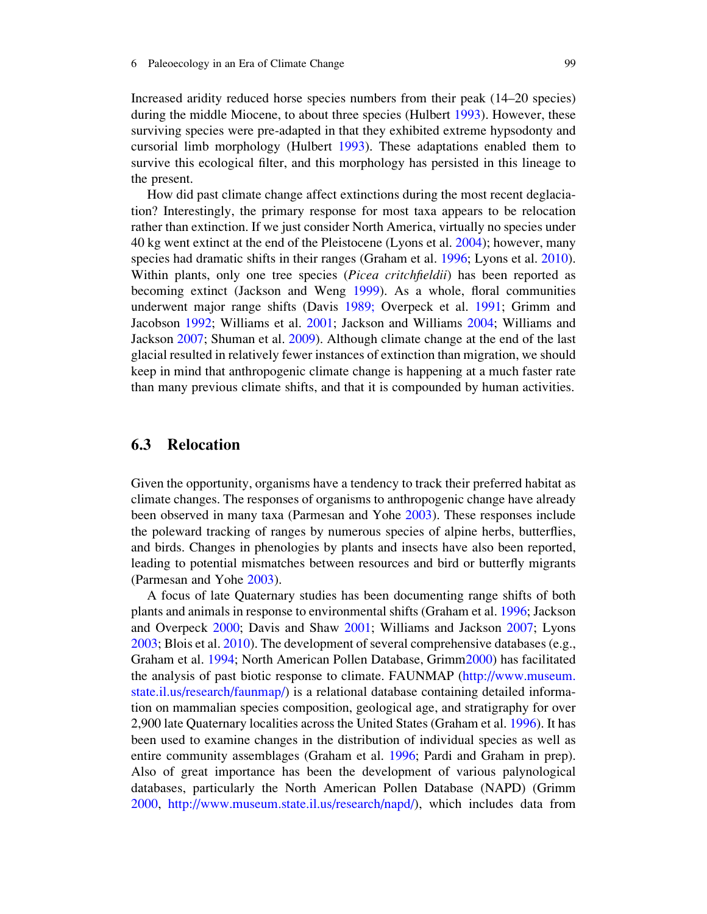Increased aridity reduced horse species numbers from their peak (14–20 species) during the middle Miocene, to about three species (Hulbert 1993). However, these surviving species were pre-adapted in that they exhibited extreme hypsodonty and cursorial limb morphology (Hulbert 1993). These adaptations enabled them to survive this ecological filter, and this morphology has persisted in this lineage to the present.

How did past climate change affect extinctions during the most recent deglaciation? Interestingly, the primary response for most taxa appears to be relocation rather than extinction. If we just consider North America, virtually no species under 40 kg went extinct at the end of the Pleistocene (Lyons et al. 2004); however, many species had dramatic shifts in their ranges (Graham et al. 1996; Lyons et al. 2010). Within plants, only one tree species (*Picea critchfieldii*) has been reported as becoming extinct (Jackson and Weng 1999). As a whole, floral communities underwent major range shifts (Davis 1989; Overpeck et al. 1991; Grimm and Jacobson 1992; Williams et al. 2001; Jackson and Williams 2004; Williams and Jackson 2007; Shuman et al. 2009). Although climate change at the end of the last glacial resulted in relatively fewer instances of extinction than migration, we should keep in mind that anthropogenic climate change is happening at a much faster rate than many previous climate shifts, and that it is compounded by human activities.

# 6.3 Relocation

Given the opportunity, organisms have a tendency to track their preferred habitat as climate changes. The responses of organisms to anthropogenic change have already been observed in many taxa (Parmesan and Yohe 2003). These responses include the poleward tracking of ranges by numerous species of alpine herbs, butterflies, and birds. Changes in phenologies by plants and insects have also been reported, leading to potential mismatches between resources and bird or butterfly migrants (Parmesan and Yohe 2003).

A focus of late Quaternary studies has been documenting range shifts of both plants and animals in response to environmental shifts (Graham et al. 1996; Jackson and Overpeck 2000; Davis and Shaw 2001; Williams and Jackson 2007; Lyons 2003; Blois et al. 2010). The development of several comprehensive databases (e.g., Graham et al. 1994; North American Pollen Database, Grimm2000) has facilitated the analysis of past biotic response to climate. FAUNMAP (http://www.museum. state.il.us/research/faunmap/) is a relational database containing detailed information on mammalian species composition, geological age, and stratigraphy for over 2,900 late Quaternary localities across the United States (Graham et al. 1996). It has been used to examine changes in the distribution of individual species as well as entire community assemblages (Graham et al. 1996; Pardi and Graham in prep). Also of great importance has been the development of various palynological databases, particularly the North American Pollen Database (NAPD) (Grimm 2000, http://www.museum.state.il.us/research/napd/), which includes data from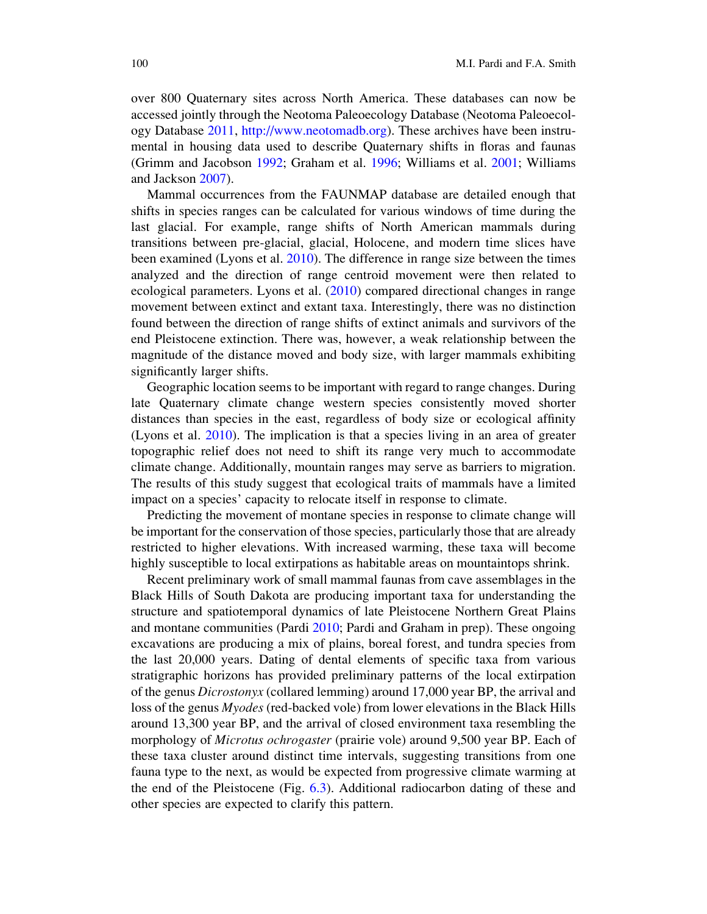over 800 Quaternary sites across North America. These databases can now be accessed jointly through the Neotoma Paleoecology Database (Neotoma Paleoecology Database 2011, http://www.neotomadb.org). These archives have been instrumental in housing data used to describe Quaternary shifts in floras and faunas (Grimm and Jacobson 1992; Graham et al. 1996; Williams et al. 2001; Williams and Jackson 2007).

Mammal occurrences from the FAUNMAP database are detailed enough that shifts in species ranges can be calculated for various windows of time during the last glacial. For example, range shifts of North American mammals during transitions between pre-glacial, glacial, Holocene, and modern time slices have been examined (Lyons et al. 2010). The difference in range size between the times analyzed and the direction of range centroid movement were then related to ecological parameters. Lyons et al. (2010) compared directional changes in range movement between extinct and extant taxa. Interestingly, there was no distinction found between the direction of range shifts of extinct animals and survivors of the end Pleistocene extinction. There was, however, a weak relationship between the magnitude of the distance moved and body size, with larger mammals exhibiting significantly larger shifts.

Geographic location seems to be important with regard to range changes. During late Quaternary climate change western species consistently moved shorter distances than species in the east, regardless of body size or ecological affinity (Lyons et al. 2010). The implication is that a species living in an area of greater topographic relief does not need to shift its range very much to accommodate climate change. Additionally, mountain ranges may serve as barriers to migration. The results of this study suggest that ecological traits of mammals have a limited impact on a species' capacity to relocate itself in response to climate.

Predicting the movement of montane species in response to climate change will be important for the conservation of those species, particularly those that are already restricted to higher elevations. With increased warming, these taxa will become highly susceptible to local extirpations as habitable areas on mountaintops shrink.

Recent preliminary work of small mammal faunas from cave assemblages in the Black Hills of South Dakota are producing important taxa for understanding the structure and spatiotemporal dynamics of late Pleistocene Northern Great Plains and montane communities (Pardi 2010; Pardi and Graham in prep). These ongoing excavations are producing a mix of plains, boreal forest, and tundra species from the last 20,000 years. Dating of dental elements of specific taxa from various stratigraphic horizons has provided preliminary patterns of the local extirpation of the genus Dicrostonyx (collared lemming) around 17,000 year BP, the arrival and loss of the genus Myodes (red-backed vole) from lower elevations in the Black Hills around 13,300 year BP, and the arrival of closed environment taxa resembling the morphology of Microtus ochrogaster (prairie vole) around 9,500 year BP. Each of these taxa cluster around distinct time intervals, suggesting transitions from one fauna type to the next, as would be expected from progressive climate warming at the end of the Pleistocene (Fig. 6.3). Additional radiocarbon dating of these and other species are expected to clarify this pattern.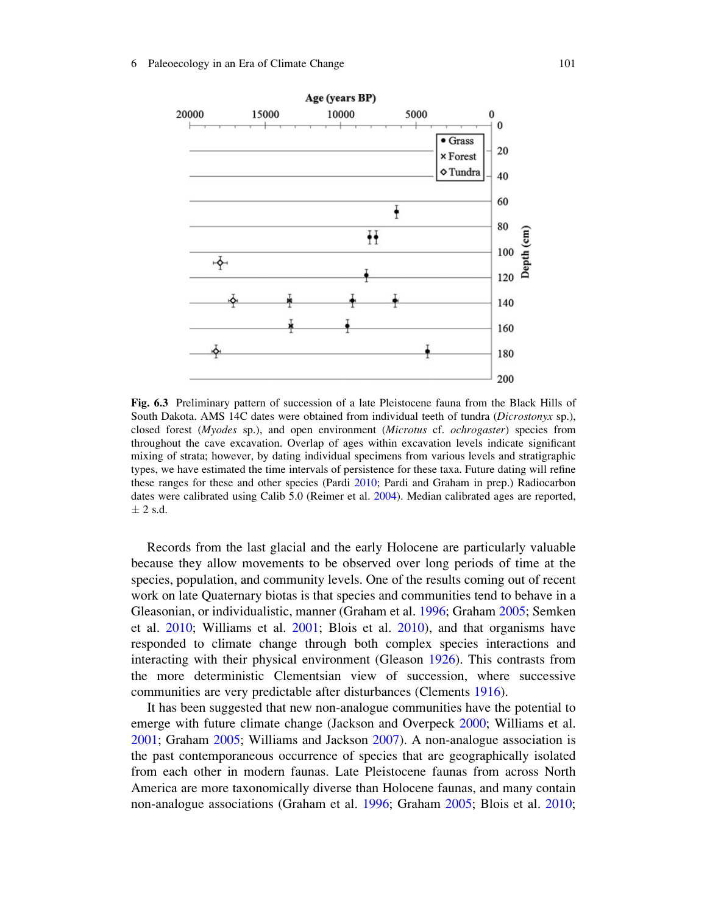

Fig. 6.3 Preliminary pattern of succession of a late Pleistocene fauna from the Black Hills of South Dakota. AMS 14C dates were obtained from individual teeth of tundra (*Dicrostonyx* sp.), closed forest (Myodes sp.), and open environment (Microtus cf. ochrogaster) species from throughout the cave excavation. Overlap of ages within excavation levels indicate significant mixing of strata; however, by dating individual specimens from various levels and stratigraphic types, we have estimated the time intervals of persistence for these taxa. Future dating will refine these ranges for these and other species (Pardi 2010; Pardi and Graham in prep.) Radiocarbon dates were calibrated using Calib 5.0 (Reimer et al. 2004). Median calibrated ages are reported,  $\pm$  2 s.d.

Records from the last glacial and the early Holocene are particularly valuable because they allow movements to be observed over long periods of time at the species, population, and community levels. One of the results coming out of recent work on late Quaternary biotas is that species and communities tend to behave in a Gleasonian, or individualistic, manner (Graham et al. 1996; Graham 2005; Semken et al. 2010; Williams et al. 2001; Blois et al. 2010), and that organisms have responded to climate change through both complex species interactions and interacting with their physical environment (Gleason 1926). This contrasts from the more deterministic Clementsian view of succession, where successive communities are very predictable after disturbances (Clements 1916).

It has been suggested that new non-analogue communities have the potential to emerge with future climate change (Jackson and Overpeck 2000; Williams et al. 2001; Graham 2005; Williams and Jackson 2007). A non-analogue association is the past contemporaneous occurrence of species that are geographically isolated from each other in modern faunas. Late Pleistocene faunas from across North America are more taxonomically diverse than Holocene faunas, and many contain non-analogue associations (Graham et al. 1996; Graham 2005; Blois et al. 2010;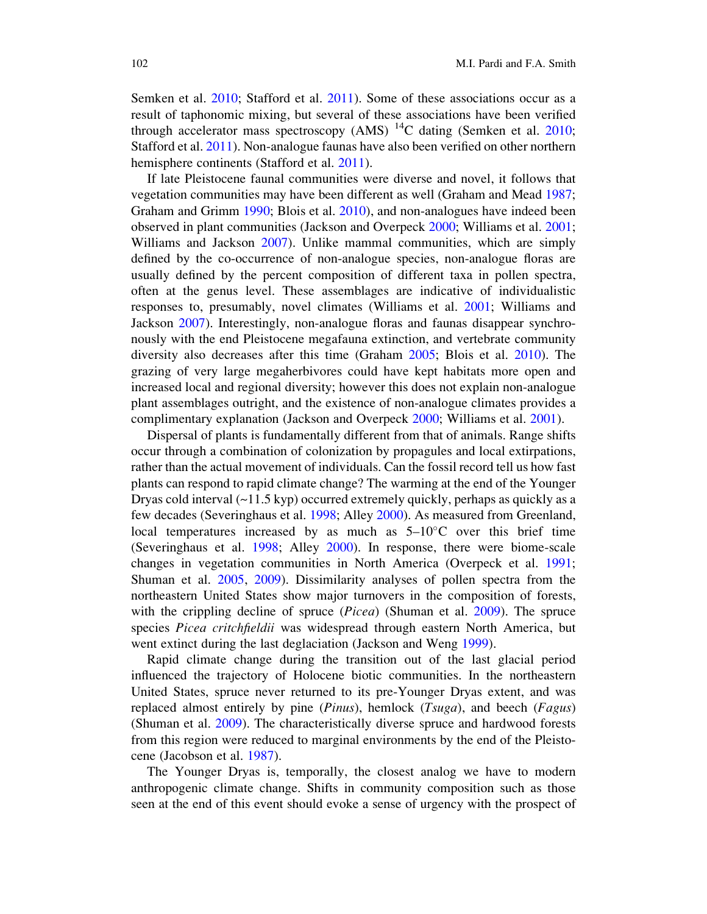Semken et al. 2010; Stafford et al. 2011). Some of these associations occur as a result of taphonomic mixing, but several of these associations have been verified through accelerator mass spectroscopy (AMS) <sup>14</sup>C dating (Semken et al. 2010; Stafford et al. 2011). Non-analogue faunas have also been verified on other northern hemisphere continents (Stafford et al. 2011).

If late Pleistocene faunal communities were diverse and novel, it follows that vegetation communities may have been different as well (Graham and Mead 1987; Graham and Grimm 1990; Blois et al. 2010), and non-analogues have indeed been observed in plant communities (Jackson and Overpeck 2000; Williams et al. 2001; Williams and Jackson 2007). Unlike mammal communities, which are simply defined by the co-occurrence of non-analogue species, non-analogue floras are usually defined by the percent composition of different taxa in pollen spectra, often at the genus level. These assemblages are indicative of individualistic responses to, presumably, novel climates (Williams et al. 2001; Williams and Jackson 2007). Interestingly, non-analogue floras and faunas disappear synchronously with the end Pleistocene megafauna extinction, and vertebrate community diversity also decreases after this time (Graham 2005; Blois et al. 2010). The grazing of very large megaherbivores could have kept habitats more open and increased local and regional diversity; however this does not explain non-analogue plant assemblages outright, and the existence of non-analogue climates provides a complimentary explanation (Jackson and Overpeck 2000; Williams et al. 2001).

Dispersal of plants is fundamentally different from that of animals. Range shifts occur through a combination of colonization by propagules and local extirpations, rather than the actual movement of individuals. Can the fossil record tell us how fast plants can respond to rapid climate change? The warming at the end of the Younger Dryas cold interval  $(\sim 11.5 \text{ kyp})$  occurred extremely quickly, perhaps as quickly as a few decades (Severinghaus et al. 1998; Alley 2000). As measured from Greenland, local temperatures increased by as much as  $5{\text -}10^{\circ}$ C over this brief time (Severinghaus et al. 1998; Alley 2000). In response, there were biome-scale changes in vegetation communities in North America (Overpeck et al. 1991; Shuman et al. 2005, 2009). Dissimilarity analyses of pollen spectra from the northeastern United States show major turnovers in the composition of forests, with the crippling decline of spruce (*Picea*) (Shuman et al. 2009). The spruce species Picea critchfieldii was widespread through eastern North America, but went extinct during the last deglaciation (Jackson and Weng 1999).

Rapid climate change during the transition out of the last glacial period influenced the trajectory of Holocene biotic communities. In the northeastern United States, spruce never returned to its pre-Younger Dryas extent, and was replaced almost entirely by pine  $(Pinus)$ , hemlock  $(Tsuga)$ , and beech  $(Fagus)$ (Shuman et al. 2009). The characteristically diverse spruce and hardwood forests from this region were reduced to marginal environments by the end of the Pleistocene (Jacobson et al. 1987).

The Younger Dryas is, temporally, the closest analog we have to modern anthropogenic climate change. Shifts in community composition such as those seen at the end of this event should evoke a sense of urgency with the prospect of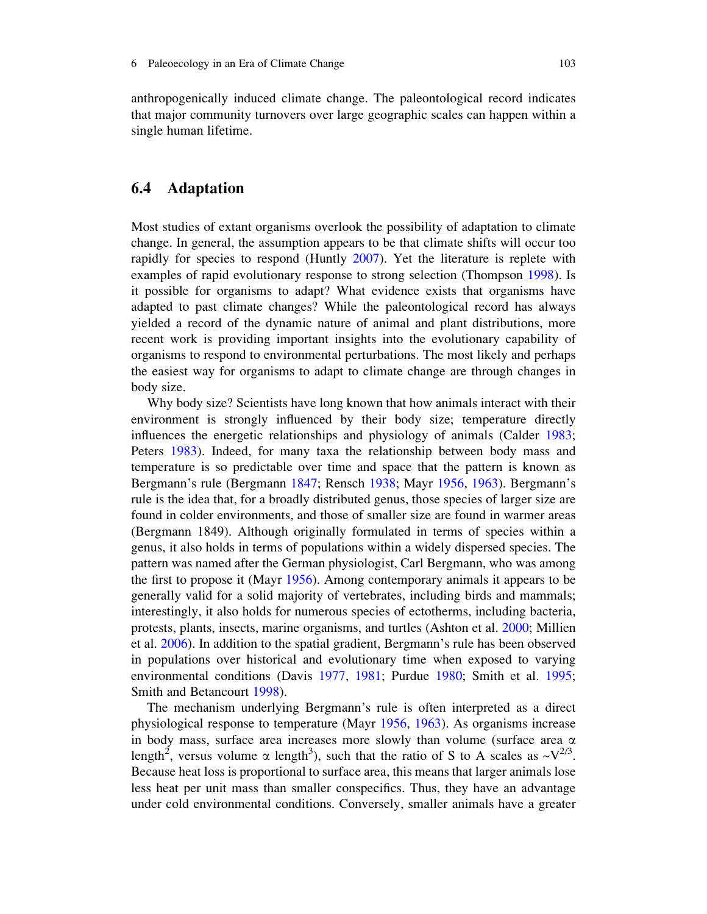anthropogenically induced climate change. The paleontological record indicates that major community turnovers over large geographic scales can happen within a single human lifetime.

# 6.4 Adaptation

Most studies of extant organisms overlook the possibility of adaptation to climate change. In general, the assumption appears to be that climate shifts will occur too rapidly for species to respond (Huntly 2007). Yet the literature is replete with examples of rapid evolutionary response to strong selection (Thompson 1998). Is it possible for organisms to adapt? What evidence exists that organisms have adapted to past climate changes? While the paleontological record has always yielded a record of the dynamic nature of animal and plant distributions, more recent work is providing important insights into the evolutionary capability of organisms to respond to environmental perturbations. The most likely and perhaps the easiest way for organisms to adapt to climate change are through changes in body size.

Why body size? Scientists have long known that how animals interact with their environment is strongly influenced by their body size; temperature directly influences the energetic relationships and physiology of animals (Calder 1983; Peters 1983). Indeed, for many taxa the relationship between body mass and temperature is so predictable over time and space that the pattern is known as Bergmann's rule (Bergmann 1847; Rensch 1938; Mayr 1956, 1963). Bergmann's rule is the idea that, for a broadly distributed genus, those species of larger size are found in colder environments, and those of smaller size are found in warmer areas (Bergmann 1849). Although originally formulated in terms of species within a genus, it also holds in terms of populations within a widely dispersed species. The pattern was named after the German physiologist, Carl Bergmann, who was among the first to propose it (Mayr 1956). Among contemporary animals it appears to be generally valid for a solid majority of vertebrates, including birds and mammals; interestingly, it also holds for numerous species of ectotherms, including bacteria, protests, plants, insects, marine organisms, and turtles (Ashton et al. 2000; Millien et al. 2006). In addition to the spatial gradient, Bergmann's rule has been observed in populations over historical and evolutionary time when exposed to varying environmental conditions (Davis 1977, 1981; Purdue 1980; Smith et al. 1995; Smith and Betancourt 1998).

The mechanism underlying Bergmann's rule is often interpreted as a direct physiological response to temperature (Mayr 1956, 1963). As organisms increase in body mass, surface area increases more slowly than volume (surface area  $\alpha$ length<sup>2</sup>, versus volume  $\alpha$  length<sup>3</sup>), such that the ratio of S to A scales as  $\sim$ V<sup>2/3</sup>. Because heat loss is proportional to surface area, this means that larger animals lose less heat per unit mass than smaller conspecifics. Thus, they have an advantage under cold environmental conditions. Conversely, smaller animals have a greater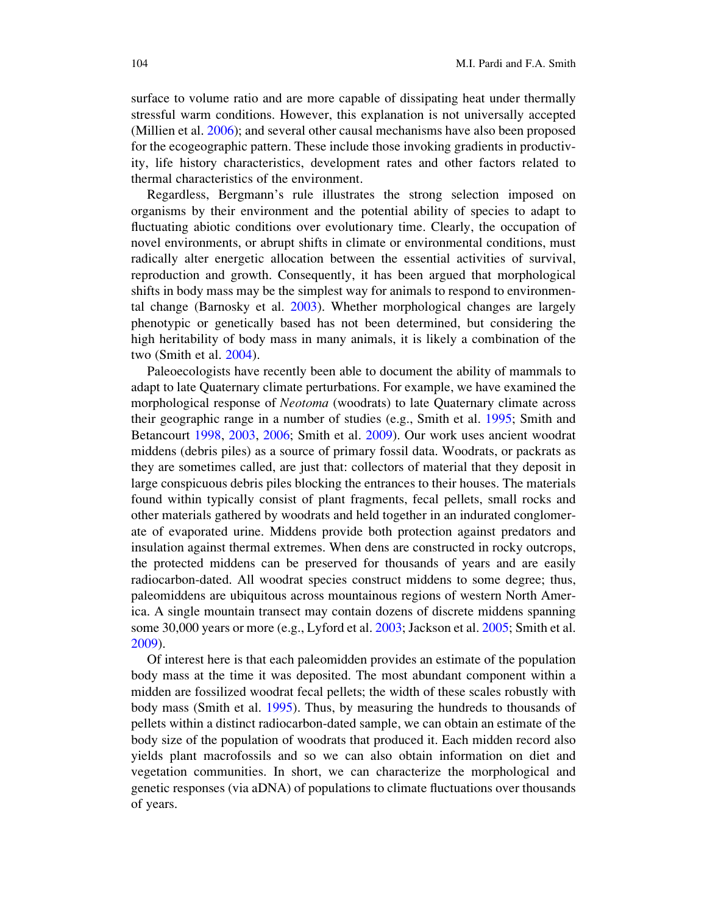surface to volume ratio and are more capable of dissipating heat under thermally stressful warm conditions. However, this explanation is not universally accepted (Millien et al. 2006); and several other causal mechanisms have also been proposed for the ecogeographic pattern. These include those invoking gradients in productivity, life history characteristics, development rates and other factors related to thermal characteristics of the environment.

Regardless, Bergmann's rule illustrates the strong selection imposed on organisms by their environment and the potential ability of species to adapt to fluctuating abiotic conditions over evolutionary time. Clearly, the occupation of novel environments, or abrupt shifts in climate or environmental conditions, must radically alter energetic allocation between the essential activities of survival, reproduction and growth. Consequently, it has been argued that morphological shifts in body mass may be the simplest way for animals to respond to environmental change (Barnosky et al. 2003). Whether morphological changes are largely phenotypic or genetically based has not been determined, but considering the high heritability of body mass in many animals, it is likely a combination of the two (Smith et al. 2004).

Paleoecologists have recently been able to document the ability of mammals to adapt to late Quaternary climate perturbations. For example, we have examined the morphological response of *Neotoma* (woodrats) to late Quaternary climate across their geographic range in a number of studies (e.g., Smith et al. 1995; Smith and Betancourt 1998, 2003, 2006; Smith et al. 2009). Our work uses ancient woodrat middens (debris piles) as a source of primary fossil data. Woodrats, or packrats as they are sometimes called, are just that: collectors of material that they deposit in large conspicuous debris piles blocking the entrances to their houses. The materials found within typically consist of plant fragments, fecal pellets, small rocks and other materials gathered by woodrats and held together in an indurated conglomerate of evaporated urine. Middens provide both protection against predators and insulation against thermal extremes. When dens are constructed in rocky outcrops, the protected middens can be preserved for thousands of years and are easily radiocarbon-dated. All woodrat species construct middens to some degree; thus, paleomiddens are ubiquitous across mountainous regions of western North America. A single mountain transect may contain dozens of discrete middens spanning some 30,000 years or more (e.g., Lyford et al. 2003; Jackson et al. 2005; Smith et al. 2009).

Of interest here is that each paleomidden provides an estimate of the population body mass at the time it was deposited. The most abundant component within a midden are fossilized woodrat fecal pellets; the width of these scales robustly with body mass (Smith et al. 1995). Thus, by measuring the hundreds to thousands of pellets within a distinct radiocarbon-dated sample, we can obtain an estimate of the body size of the population of woodrats that produced it. Each midden record also yields plant macrofossils and so we can also obtain information on diet and vegetation communities. In short, we can characterize the morphological and genetic responses (via aDNA) of populations to climate fluctuations over thousands of years.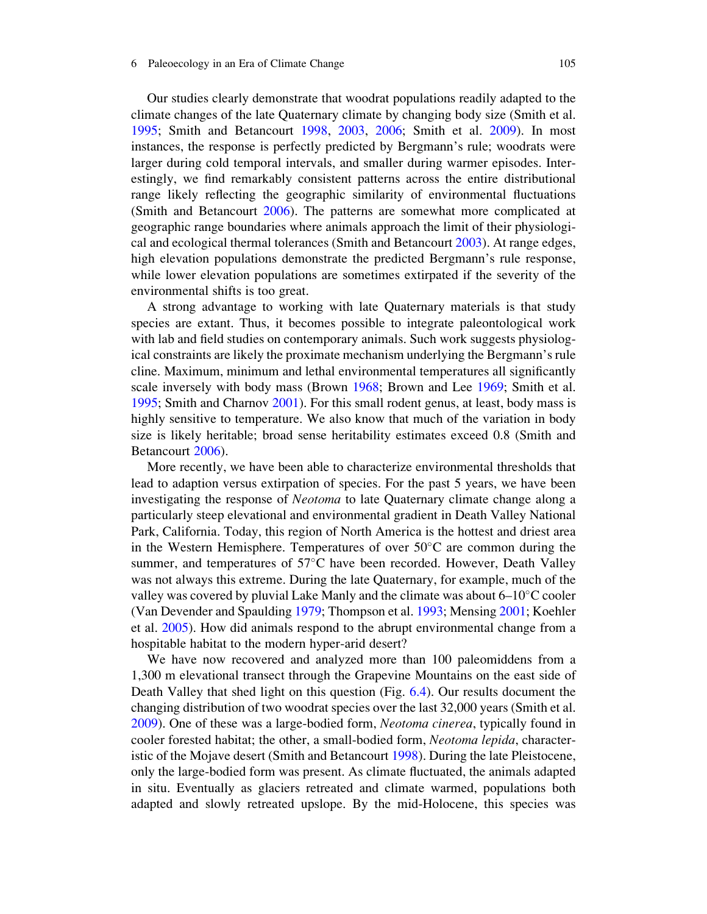#### 6 Paleoecology in an Era of Climate Change 105

Our studies clearly demonstrate that woodrat populations readily adapted to the climate changes of the late Quaternary climate by changing body size (Smith et al. 1995; Smith and Betancourt 1998, 2003, 2006; Smith et al. 2009). In most instances, the response is perfectly predicted by Bergmann's rule; woodrats were larger during cold temporal intervals, and smaller during warmer episodes. Interestingly, we find remarkably consistent patterns across the entire distributional range likely reflecting the geographic similarity of environmental fluctuations (Smith and Betancourt 2006). The patterns are somewhat more complicated at geographic range boundaries where animals approach the limit of their physiological and ecological thermal tolerances (Smith and Betancourt 2003). At range edges, high elevation populations demonstrate the predicted Bergmann's rule response, while lower elevation populations are sometimes extirpated if the severity of the environmental shifts is too great.

A strong advantage to working with late Quaternary materials is that study species are extant. Thus, it becomes possible to integrate paleontological work with lab and field studies on contemporary animals. Such work suggests physiological constraints are likely the proximate mechanism underlying the Bergmann's rule cline. Maximum, minimum and lethal environmental temperatures all significantly scale inversely with body mass (Brown 1968; Brown and Lee 1969; Smith et al. 1995; Smith and Charnov 2001). For this small rodent genus, at least, body mass is highly sensitive to temperature. We also know that much of the variation in body size is likely heritable; broad sense heritability estimates exceed 0.8 (Smith and Betancourt 2006).

More recently, we have been able to characterize environmental thresholds that lead to adaption versus extirpation of species. For the past 5 years, we have been investigating the response of *Neotoma* to late Quaternary climate change along a particularly steep elevational and environmental gradient in Death Valley National Park, California. Today, this region of North America is the hottest and driest area in the Western Hemisphere. Temperatures of over  $50^{\circ}$ C are common during the summer, and temperatures of  $57^{\circ}$ C have been recorded. However, Death Valley was not always this extreme. During the late Quaternary, for example, much of the valley was covered by pluvial Lake Manly and the climate was about  $6-10^{\circ}$ C cooler (Van Devender and Spaulding 1979; Thompson et al. 1993; Mensing 2001; Koehler et al. 2005). How did animals respond to the abrupt environmental change from a hospitable habitat to the modern hyper-arid desert?

We have now recovered and analyzed more than 100 paleomiddens from a 1,300 m elevational transect through the Grapevine Mountains on the east side of Death Valley that shed light on this question (Fig. 6.4). Our results document the changing distribution of two woodrat species over the last 32,000 years (Smith et al. 2009). One of these was a large-bodied form, Neotoma cinerea, typically found in cooler forested habitat; the other, a small-bodied form, *Neotoma lepida*, characteristic of the Mojave desert (Smith and Betancourt 1998). During the late Pleistocene, only the large-bodied form was present. As climate fluctuated, the animals adapted in situ. Eventually as glaciers retreated and climate warmed, populations both adapted and slowly retreated upslope. By the mid-Holocene, this species was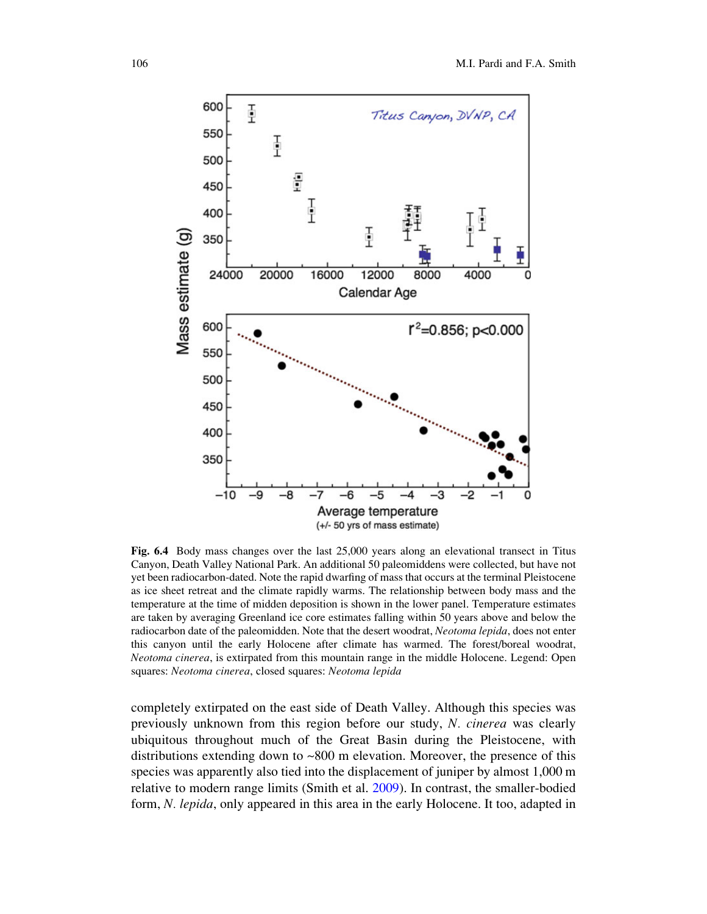

Fig. 6.4 Body mass changes over the last 25,000 years along an elevational transect in Titus Canyon, Death Valley National Park. An additional 50 paleomiddens were collected, but have not yet been radiocarbon-dated. Note the rapid dwarfing of mass that occurs at the terminal Pleistocene as ice sheet retreat and the climate rapidly warms. The relationship between body mass and the temperature at the time of midden deposition is shown in the lower panel. Temperature estimates are taken by averaging Greenland ice core estimates falling within 50 years above and below the radiocarbon date of the paleomidden. Note that the desert woodrat, Neotoma lepida, does not enter this canyon until the early Holocene after climate has warmed. The forest/boreal woodrat, Neotoma cinerea, is extirpated from this mountain range in the middle Holocene. Legend: Open squares: Neotoma cinerea, closed squares: Neotoma lepida

completely extirpated on the east side of Death Valley. Although this species was previously unknown from this region before our study, N. cinerea was clearly ubiquitous throughout much of the Great Basin during the Pleistocene, with distributions extending down to ~800 m elevation. Moreover, the presence of this species was apparently also tied into the displacement of juniper by almost 1,000 m relative to modern range limits (Smith et al. 2009). In contrast, the smaller-bodied form, N. lepida, only appeared in this area in the early Holocene. It too, adapted in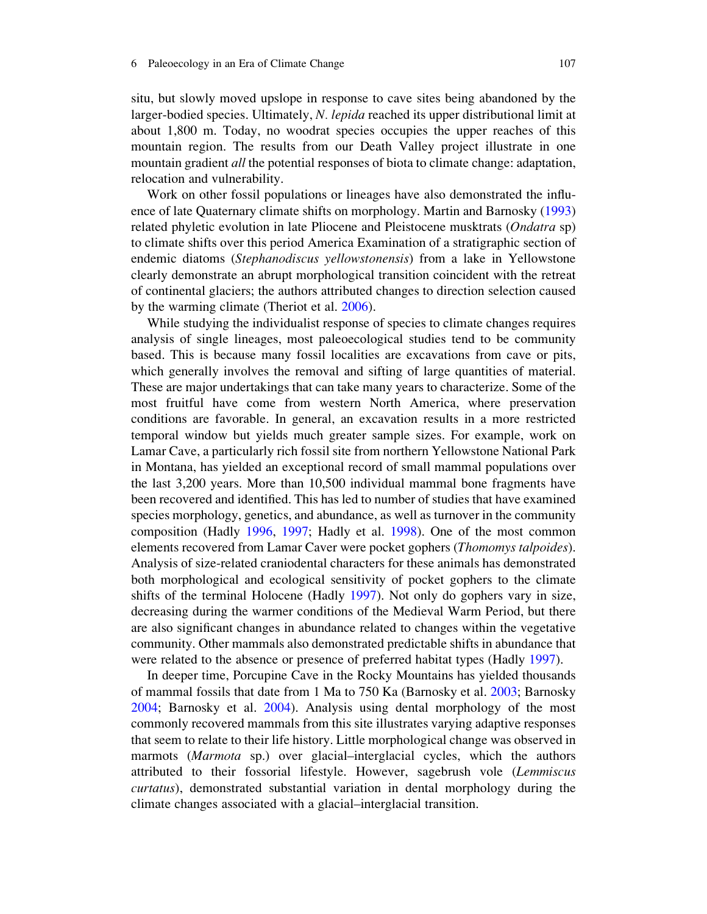situ, but slowly moved upslope in response to cave sites being abandoned by the larger-bodied species. Ultimately, N. lepida reached its upper distributional limit at about 1,800 m. Today, no woodrat species occupies the upper reaches of this mountain region. The results from our Death Valley project illustrate in one mountain gradient *all* the potential responses of biota to climate change: adaptation, relocation and vulnerability.

Work on other fossil populations or lineages have also demonstrated the influence of late Quaternary climate shifts on morphology. Martin and Barnosky (1993) related phyletic evolution in late Pliocene and Pleistocene musktrats (Ondatra sp) to climate shifts over this period America Examination of a stratigraphic section of endemic diatoms (Stephanodiscus yellowstonensis) from a lake in Yellowstone clearly demonstrate an abrupt morphological transition coincident with the retreat of continental glaciers; the authors attributed changes to direction selection caused by the warming climate (Theriot et al. 2006).

While studying the individualist response of species to climate changes requires analysis of single lineages, most paleoecological studies tend to be community based. This is because many fossil localities are excavations from cave or pits, which generally involves the removal and sifting of large quantities of material. These are major undertakings that can take many years to characterize. Some of the most fruitful have come from western North America, where preservation conditions are favorable. In general, an excavation results in a more restricted temporal window but yields much greater sample sizes. For example, work on Lamar Cave, a particularly rich fossil site from northern Yellowstone National Park in Montana, has yielded an exceptional record of small mammal populations over the last 3,200 years. More than 10,500 individual mammal bone fragments have been recovered and identified. This has led to number of studies that have examined species morphology, genetics, and abundance, as well as turnover in the community composition (Hadly 1996, 1997; Hadly et al. 1998). One of the most common elements recovered from Lamar Caver were pocket gophers (Thomomys talpoides). Analysis of size-related craniodental characters for these animals has demonstrated both morphological and ecological sensitivity of pocket gophers to the climate shifts of the terminal Holocene (Hadly 1997). Not only do gophers vary in size, decreasing during the warmer conditions of the Medieval Warm Period, but there are also significant changes in abundance related to changes within the vegetative community. Other mammals also demonstrated predictable shifts in abundance that were related to the absence or presence of preferred habitat types (Hadly 1997).

In deeper time, Porcupine Cave in the Rocky Mountains has yielded thousands of mammal fossils that date from 1 Ma to 750 Ka (Barnosky et al. 2003; Barnosky 2004; Barnosky et al. 2004). Analysis using dental morphology of the most commonly recovered mammals from this site illustrates varying adaptive responses that seem to relate to their life history. Little morphological change was observed in marmots (Marmota sp.) over glacial–interglacial cycles, which the authors attributed to their fossorial lifestyle. However, sagebrush vole (Lemmiscus curtatus), demonstrated substantial variation in dental morphology during the climate changes associated with a glacial–interglacial transition.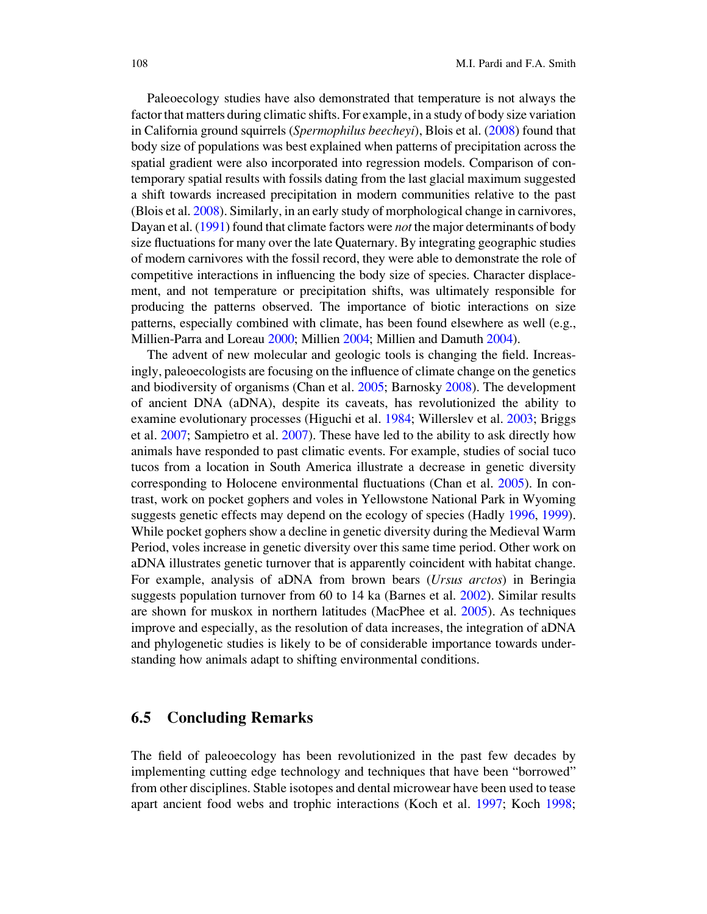Paleoecology studies have also demonstrated that temperature is not always the factor that matters during climatic shifts. For example, in a study of body size variation in California ground squirrels (Spermophilus beecheyi), Blois et al. (2008) found that body size of populations was best explained when patterns of precipitation across the spatial gradient were also incorporated into regression models. Comparison of contemporary spatial results with fossils dating from the last glacial maximum suggested a shift towards increased precipitation in modern communities relative to the past (Blois et al. 2008). Similarly, in an early study of morphological change in carnivores, Dayan et al. (1991) found that climate factors were *not* the major determinants of body size fluctuations for many over the late Quaternary. By integrating geographic studies of modern carnivores with the fossil record, they were able to demonstrate the role of competitive interactions in influencing the body size of species. Character displacement, and not temperature or precipitation shifts, was ultimately responsible for producing the patterns observed. The importance of biotic interactions on size patterns, especially combined with climate, has been found elsewhere as well (e.g., Millien-Parra and Loreau 2000; Millien 2004; Millien and Damuth 2004).

The advent of new molecular and geologic tools is changing the field. Increasingly, paleoecologists are focusing on the influence of climate change on the genetics and biodiversity of organisms (Chan et al. 2005; Barnosky 2008). The development of ancient DNA (aDNA), despite its caveats, has revolutionized the ability to examine evolutionary processes (Higuchi et al. 1984; Willerslev et al. 2003; Briggs et al. 2007; Sampietro et al. 2007). These have led to the ability to ask directly how animals have responded to past climatic events. For example, studies of social tuco tucos from a location in South America illustrate a decrease in genetic diversity corresponding to Holocene environmental fluctuations (Chan et al. 2005). In contrast, work on pocket gophers and voles in Yellowstone National Park in Wyoming suggests genetic effects may depend on the ecology of species (Hadly 1996, 1999). While pocket gophers show a decline in genetic diversity during the Medieval Warm Period, voles increase in genetic diversity over this same time period. Other work on aDNA illustrates genetic turnover that is apparently coincident with habitat change. For example, analysis of aDNA from brown bears (*Ursus arctos*) in Beringia suggests population turnover from 60 to 14 ka (Barnes et al. 2002). Similar results are shown for muskox in northern latitudes (MacPhee et al. 2005). As techniques improve and especially, as the resolution of data increases, the integration of aDNA and phylogenetic studies is likely to be of considerable importance towards understanding how animals adapt to shifting environmental conditions.

### 6.5 Concluding Remarks

The field of paleoecology has been revolutionized in the past few decades by implementing cutting edge technology and techniques that have been "borrowed" from other disciplines. Stable isotopes and dental microwear have been used to tease apart ancient food webs and trophic interactions (Koch et al. 1997; Koch 1998;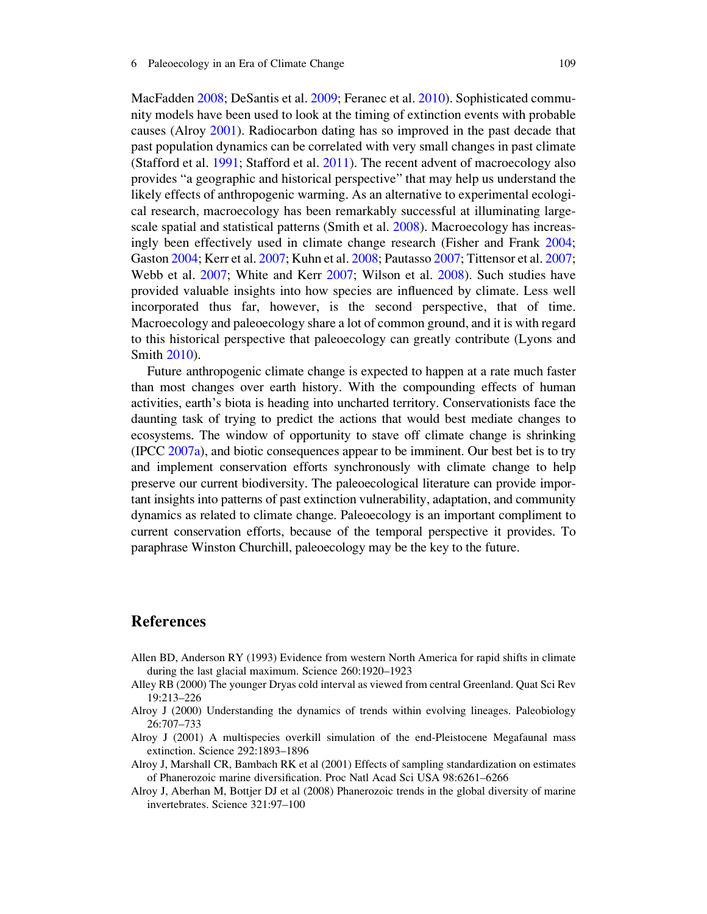MacFadden 2008; DeSantis et al. 2009; Feranec et al. 2010). Sophisticated community models have been used to look at the timing of extinction events with probable causes (Alroy 2001). Radiocarbon dating has so improved in the past decade that past population dynamics can be correlated with very small changes in past climate (Stafford et al. 1991; Stafford et al. 2011). The recent advent of macroecology also provides "a geographic and historical perspective" that may help us understand the likely effects of anthropogenic warming. As an alternative to experimental ecological research, macroecology has been remarkably successful at illuminating largescale spatial and statistical patterns (Smith et al. 2008). Macroecology has increasingly been effectively used in climate change research (Fisher and Frank 2004; Gaston 2004; Kerr et al. 2007; Kuhn et al. 2008; Pautasso 2007; Tittensor et al. 2007; Webb et al. 2007; White and Kerr 2007; Wilson et al. 2008). Such studies have provided valuable insights into how species are influenced by climate. Less well incorporated thus far, however, is the second perspective, that of time. Macroecology and paleoecology share a lot of common ground, and it is with regard to this historical perspective that paleoecology can greatly contribute (Lyons and Smith 2010).

Future anthropogenic climate change is expected to happen at a rate much faster than most changes over earth history. With the compounding effects of human activities, earth's biota is heading into uncharted territory. Conservationists face the daunting task of trying to predict the actions that would best mediate changes to ecosystems. The window of opportunity to stave off climate change is shrinking (IPCC 2007a), and biotic consequences appear to be imminent. Our best bet is to try and implement conservation efforts synchronously with climate change to help preserve our current biodiversity. The paleoecological literature can provide important insights into patterns of past extinction vulnerability, adaptation, and community dynamics as related to climate change. Paleoecology is an important compliment to current conservation efforts, because of the temporal perspective it provides. To paraphrase Winston Churchill, paleoecology may be the key to the future.

# References

- Allen BD, Anderson RY (1993) Evidence from western North America for rapid shifts in climate during the last glacial maximum. Science 260:1920–1923
- Alley RB (2000) The younger Dryas cold interval as viewed from central Greenland. Quat Sci Rev 19:213–226
- Alroy J (2000) Understanding the dynamics of trends within evolving lineages. Paleobiology 26:707–733
- Alroy J (2001) A multispecies overkill simulation of the end-Pleistocene Megafaunal mass extinction. Science 292:1893–1896
- Alroy J, Marshall CR, Bambach RK et al (2001) Effects of sampling standardization on estimates of Phanerozoic marine diversification. Proc Natl Acad Sci USA 98:6261–6266
- Alroy J, Aberhan M, Bottjer DJ et al (2008) Phanerozoic trends in the global diversity of marine invertebrates. Science 321:97–100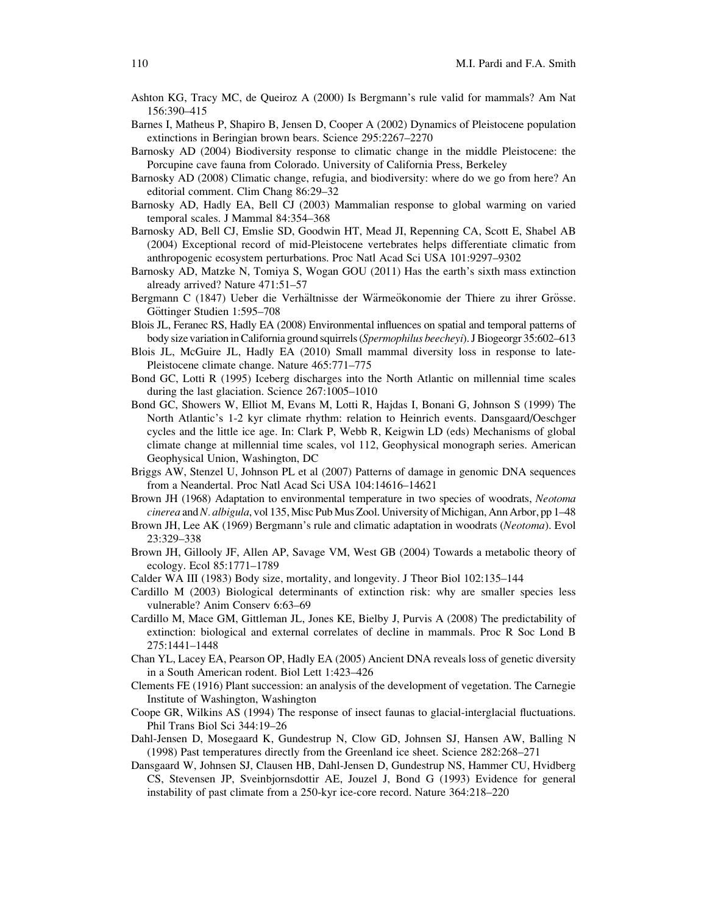- Ashton KG, Tracy MC, de Queiroz A (2000) Is Bergmann's rule valid for mammals? Am Nat 156:390–415
- Barnes I, Matheus P, Shapiro B, Jensen D, Cooper A (2002) Dynamics of Pleistocene population extinctions in Beringian brown bears. Science 295:2267–2270
- Barnosky AD (2004) Biodiversity response to climatic change in the middle Pleistocene: the Porcupine cave fauna from Colorado. University of California Press, Berkeley
- Barnosky AD (2008) Climatic change, refugia, and biodiversity: where do we go from here? An editorial comment. Clim Chang 86:29–32
- Barnosky AD, Hadly EA, Bell CJ (2003) Mammalian response to global warming on varied temporal scales. J Mammal 84:354–368
- Barnosky AD, Bell CJ, Emslie SD, Goodwin HT, Mead JI, Repenning CA, Scott E, Shabel AB (2004) Exceptional record of mid-Pleistocene vertebrates helps differentiate climatic from anthropogenic ecosystem perturbations. Proc Natl Acad Sci USA 101:9297–9302
- Barnosky AD, Matzke N, Tomiya S, Wogan GOU (2011) Has the earth's sixth mass extinction already arrived? Nature 471:51–57
- Bergmann C (1847) Ueber die Verhältnisse der Wärmeökonomie der Thiere zu ihrer Grösse. Göttinger Studien 1:595-708
- Blois JL, Feranec RS, Hadly EA (2008) Environmental influences on spatial and temporal patterns of body size variation in California ground squirrels (Spermophilus beecheyi). J Biogeorgr 35:602–613
- Blois JL, McGuire JL, Hadly EA (2010) Small mammal diversity loss in response to late-Pleistocene climate change. Nature 465:771–775
- Bond GC, Lotti R (1995) Iceberg discharges into the North Atlantic on millennial time scales during the last glaciation. Science 267:1005–1010
- Bond GC, Showers W, Elliot M, Evans M, Lotti R, Hajdas I, Bonani G, Johnson S (1999) The North Atlantic's 1-2 kyr climate rhythm: relation to Heinrich events. Dansgaard/Oeschger cycles and the little ice age. In: Clark P, Webb R, Keigwin LD (eds) Mechanisms of global climate change at millennial time scales, vol 112, Geophysical monograph series. American Geophysical Union, Washington, DC
- Briggs AW, Stenzel U, Johnson PL et al (2007) Patterns of damage in genomic DNA sequences from a Neandertal. Proc Natl Acad Sci USA 104:14616–14621
- Brown JH (1968) Adaptation to environmental temperature in two species of woodrats, Neotoma cinerea and N. albigula, vol 135, Misc Pub Mus Zool. University of Michigan, Ann Arbor, pp  $1-48$
- Brown JH, Lee AK (1969) Bergmann's rule and climatic adaptation in woodrats (Neotoma). Evol 23:329–338
- Brown JH, Gillooly JF, Allen AP, Savage VM, West GB (2004) Towards a metabolic theory of ecology. Ecol 85:1771–1789
- Calder WA III (1983) Body size, mortality, and longevity. J Theor Biol 102:135–144
- Cardillo M (2003) Biological determinants of extinction risk: why are smaller species less vulnerable? Anim Conserv 6:63–69
- Cardillo M, Mace GM, Gittleman JL, Jones KE, Bielby J, Purvis A (2008) The predictability of extinction: biological and external correlates of decline in mammals. Proc R Soc Lond B 275:1441–1448
- Chan YL, Lacey EA, Pearson OP, Hadly EA (2005) Ancient DNA reveals loss of genetic diversity in a South American rodent. Biol Lett 1:423–426
- Clements FE (1916) Plant succession: an analysis of the development of vegetation. The Carnegie Institute of Washington, Washington
- Coope GR, Wilkins AS (1994) The response of insect faunas to glacial-interglacial fluctuations. Phil Trans Biol Sci 344:19–26
- Dahl-Jensen D, Mosegaard K, Gundestrup N, Clow GD, Johnsen SJ, Hansen AW, Balling N (1998) Past temperatures directly from the Greenland ice sheet. Science 282:268–271
- Dansgaard W, Johnsen SJ, Clausen HB, Dahl-Jensen D, Gundestrup NS, Hammer CU, Hvidberg CS, Stevensen JP, Sveinbjornsdottir AE, Jouzel J, Bond G (1993) Evidence for general instability of past climate from a 250-kyr ice-core record. Nature 364:218–220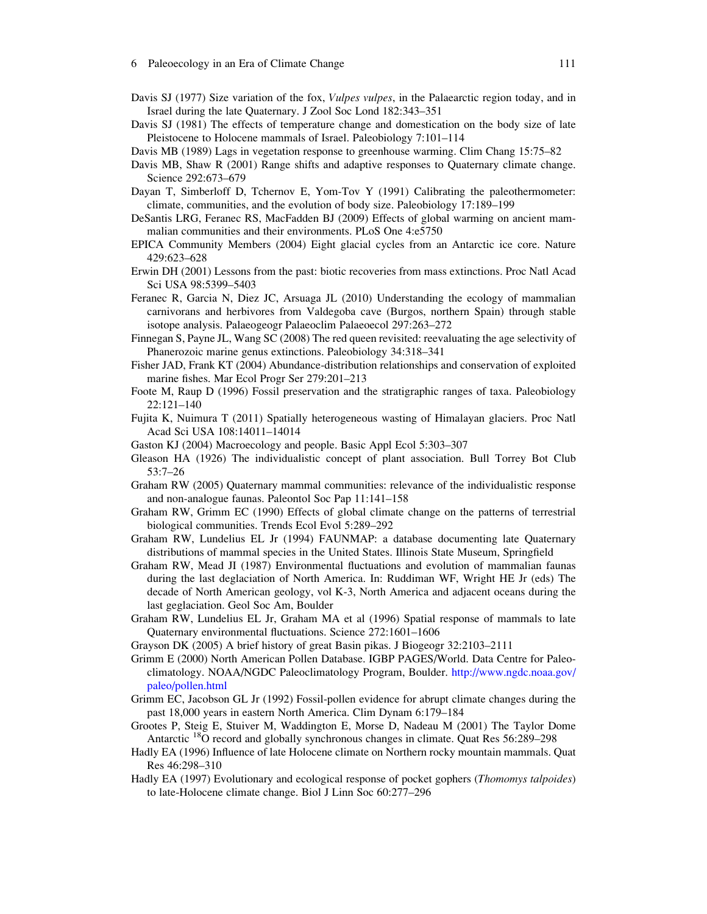- Davis SJ (1977) Size variation of the fox, *Vulpes vulpes*, in the Palaearctic region today, and in Israel during the late Quaternary. J Zool Soc Lond 182:343–351
- Davis SJ (1981) The effects of temperature change and domestication on the body size of late Pleistocene to Holocene mammals of Israel. Paleobiology 7:101–114
- Davis MB (1989) Lags in vegetation response to greenhouse warming. Clim Chang 15:75–82
- Davis MB, Shaw R (2001) Range shifts and adaptive responses to Quaternary climate change. Science 292:673–679
- Dayan T, Simberloff D, Tchernov E, Yom-Tov Y (1991) Calibrating the paleothermometer: climate, communities, and the evolution of body size. Paleobiology 17:189–199
- DeSantis LRG, Feranec RS, MacFadden BJ (2009) Effects of global warming on ancient mammalian communities and their environments. PLoS One 4:e5750
- EPICA Community Members (2004) Eight glacial cycles from an Antarctic ice core. Nature 429:623–628
- Erwin DH (2001) Lessons from the past: biotic recoveries from mass extinctions. Proc Natl Acad Sci USA 98:5399–5403
- Feranec R, Garcia N, Diez JC, Arsuaga JL (2010) Understanding the ecology of mammalian carnivorans and herbivores from Valdegoba cave (Burgos, northern Spain) through stable isotope analysis. Palaeogeogr Palaeoclim Palaeoecol 297:263–272
- Finnegan S, Payne JL, Wang SC (2008) The red queen revisited: reevaluating the age selectivity of Phanerozoic marine genus extinctions. Paleobiology 34:318–341
- Fisher JAD, Frank KT (2004) Abundance-distribution relationships and conservation of exploited marine fishes. Mar Ecol Progr Ser 279:201–213
- Foote M, Raup D (1996) Fossil preservation and the stratigraphic ranges of taxa. Paleobiology 22:121–140
- Fujita K, Nuimura T (2011) Spatially heterogeneous wasting of Himalayan glaciers. Proc Natl Acad Sci USA 108:14011–14014
- Gaston KJ (2004) Macroecology and people. Basic Appl Ecol 5:303–307
- Gleason HA (1926) The individualistic concept of plant association. Bull Torrey Bot Club 53:7–26
- Graham RW (2005) Quaternary mammal communities: relevance of the individualistic response and non-analogue faunas. Paleontol Soc Pap 11:141–158
- Graham RW, Grimm EC (1990) Effects of global climate change on the patterns of terrestrial biological communities. Trends Ecol Evol 5:289–292
- Graham RW, Lundelius EL Jr (1994) FAUNMAP: a database documenting late Quaternary distributions of mammal species in the United States. Illinois State Museum, Springfield
- Graham RW, Mead JI (1987) Environmental fluctuations and evolution of mammalian faunas during the last deglaciation of North America. In: Ruddiman WF, Wright HE Jr (eds) The decade of North American geology, vol K-3, North America and adjacent oceans during the last geglaciation. Geol Soc Am, Boulder
- Graham RW, Lundelius EL Jr, Graham MA et al (1996) Spatial response of mammals to late Quaternary environmental fluctuations. Science 272:1601–1606
- Grayson DK (2005) A brief history of great Basin pikas. J Biogeogr 32:2103–2111
- Grimm E (2000) North American Pollen Database. IGBP PAGES/World. Data Centre for Paleoclimatology. NOAA/NGDC Paleoclimatology Program, Boulder. http://www.ngdc.noaa.gov/ paleo/pollen.html
- Grimm EC, Jacobson GL Jr (1992) Fossil-pollen evidence for abrupt climate changes during the past 18,000 years in eastern North America. Clim Dynam 6:179–184
- Grootes P, Steig E, Stuiver M, Waddington E, Morse D, Nadeau M (2001) The Taylor Dome Antarctic <sup>18</sup>O record and globally synchronous changes in climate. Quat Res 56:289–298
- Hadly EA (1996) Influence of late Holocene climate on Northern rocky mountain mammals. Quat Res 46:298–310
- Hadly EA (1997) Evolutionary and ecological response of pocket gophers (Thomomys talpoides) to late-Holocene climate change. Biol J Linn Soc 60:277–296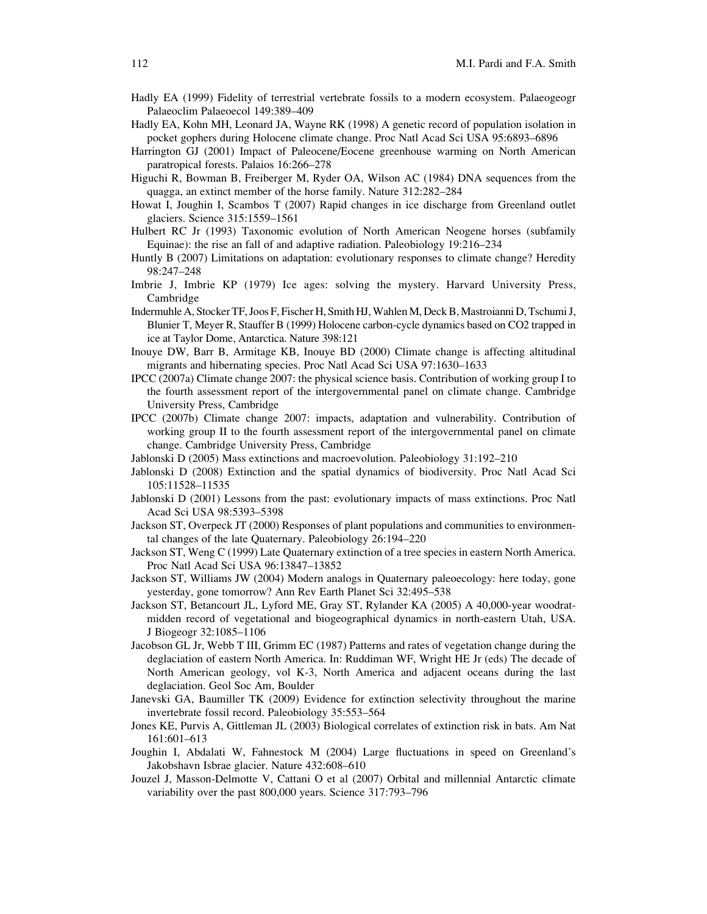- Hadly EA (1999) Fidelity of terrestrial vertebrate fossils to a modern ecosystem. Palaeogeogr Palaeoclim Palaeoecol 149:389–409
- Hadly EA, Kohn MH, Leonard JA, Wayne RK (1998) A genetic record of population isolation in pocket gophers during Holocene climate change. Proc Natl Acad Sci USA 95:6893–6896
- Harrington GJ (2001) Impact of Paleocene/Eocene greenhouse warming on North American paratropical forests. Palaios 16:266–278
- Higuchi R, Bowman B, Freiberger M, Ryder OA, Wilson AC (1984) DNA sequences from the quagga, an extinct member of the horse family. Nature 312:282–284
- Howat I, Joughin I, Scambos T (2007) Rapid changes in ice discharge from Greenland outlet glaciers. Science 315:1559–1561
- Hulbert RC Jr (1993) Taxonomic evolution of North American Neogene horses (subfamily Equinae): the rise an fall of and adaptive radiation. Paleobiology 19:216–234
- Huntly B (2007) Limitations on adaptation: evolutionary responses to climate change? Heredity 98:247–248
- Imbrie J, Imbrie KP (1979) Ice ages: solving the mystery. Harvard University Press, Cambridge
- Indermuhle A, Stocker TF, Joos F, Fischer H, Smith HJ, Wahlen M, Deck B, Mastroianni D, Tschumi J, Blunier T, Meyer R, Stauffer B (1999) Holocene carbon-cycle dynamics based on CO2 trapped in ice at Taylor Dome, Antarctica. Nature 398:121
- Inouye DW, Barr B, Armitage KB, Inouye BD (2000) Climate change is affecting altitudinal migrants and hibernating species. Proc Natl Acad Sci USA 97:1630–1633
- IPCC (2007a) Climate change 2007: the physical science basis. Contribution of working group I to the fourth assessment report of the intergovernmental panel on climate change. Cambridge University Press, Cambridge
- IPCC (2007b) Climate change 2007: impacts, adaptation and vulnerability. Contribution of working group II to the fourth assessment report of the intergovernmental panel on climate change. Cambridge University Press, Cambridge
- Jablonski D (2005) Mass extinctions and macroevolution. Paleobiology 31:192–210
- Jablonski D (2008) Extinction and the spatial dynamics of biodiversity. Proc Natl Acad Sci 105:11528–11535
- Jablonski D (2001) Lessons from the past: evolutionary impacts of mass extinctions. Proc Natl Acad Sci USA 98:5393–5398
- Jackson ST, Overpeck JT (2000) Responses of plant populations and communities to environmental changes of the late Quaternary. Paleobiology 26:194–220
- Jackson ST, Weng C (1999) Late Quaternary extinction of a tree species in eastern North America. Proc Natl Acad Sci USA 96:13847–13852
- Jackson ST, Williams JW (2004) Modern analogs in Quaternary paleoecology: here today, gone yesterday, gone tomorrow? Ann Rev Earth Planet Sci 32:495–538
- Jackson ST, Betancourt JL, Lyford ME, Gray ST, Rylander KA (2005) A 40,000-year woodratmidden record of vegetational and biogeographical dynamics in north-eastern Utah, USA. J Biogeogr 32:1085–1106
- Jacobson GL Jr, Webb T III, Grimm EC (1987) Patterns and rates of vegetation change during the deglaciation of eastern North America. In: Ruddiman WF, Wright HE Jr (eds) The decade of North American geology, vol K-3, North America and adjacent oceans during the last deglaciation. Geol Soc Am, Boulder
- Janevski GA, Baumiller TK (2009) Evidence for extinction selectivity throughout the marine invertebrate fossil record. Paleobiology 35:553–564
- Jones KE, Purvis A, Gittleman JL (2003) Biological correlates of extinction risk in bats. Am Nat 161:601–613
- Joughin I, Abdalati W, Fahnestock M (2004) Large fluctuations in speed on Greenland's Jakobshavn Isbrae glacier. Nature 432:608–610
- Jouzel J, Masson-Delmotte V, Cattani O et al (2007) Orbital and millennial Antarctic climate variability over the past 800,000 years. Science 317:793–796